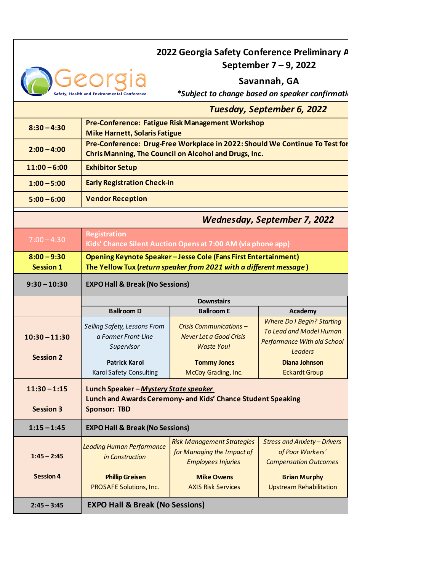## **2022 Georgia Safety Conference Preliminary A**

**September 7 – 9, 2022**

**Savannah, GA**

**\*Subject to change based on speaker confirmations** 

|                                     |                                                                                                                                      |                                                                                              | <b>Tuesday, September 6, 2022</b>                                                                                           |  |
|-------------------------------------|--------------------------------------------------------------------------------------------------------------------------------------|----------------------------------------------------------------------------------------------|-----------------------------------------------------------------------------------------------------------------------------|--|
| $8:30 - 4:30$                       | Pre-Conference: Fatigue Risk Management Workshop<br><b>Mike Harnett, Solaris Fatigue</b>                                             |                                                                                              |                                                                                                                             |  |
| $2:00 - 4:00$                       | Pre-Conference: Drug-Free Workplace in 2022: Should We Continue To Test for<br>Chris Manning, The Council on Alcohol and Drugs, Inc. |                                                                                              |                                                                                                                             |  |
| $11:00 - 6:00$                      | <b>Exhibitor Setup</b>                                                                                                               |                                                                                              |                                                                                                                             |  |
| $1:00 - 5:00$                       | <b>Early Registration Check-in</b>                                                                                                   |                                                                                              |                                                                                                                             |  |
| $5:00 - 6:00$                       | <b>Vendor Reception</b>                                                                                                              |                                                                                              |                                                                                                                             |  |
| <b>Wednesday, September 7, 2022</b> |                                                                                                                                      |                                                                                              |                                                                                                                             |  |
| $7:00 - 4:30$                       | <b>Registration</b><br>Kids' Chance Silent Auction Opens at 7:00 AM (via phone app)                                                  |                                                                                              |                                                                                                                             |  |
| $8:00 - 9:30$<br><b>Session 1</b>   | Opening Keynote Speaker-Jesse Cole (Fans First Entertainment)<br>The Yellow Tux (return speaker from 2021 with a different message)  |                                                                                              |                                                                                                                             |  |
| $9:30 - 10:30$                      | <b>EXPO Hall &amp; Break (No Sessions)</b>                                                                                           |                                                                                              |                                                                                                                             |  |
|                                     | <b>Downstairs</b>                                                                                                                    |                                                                                              |                                                                                                                             |  |
|                                     | <b>Ballroom D</b>                                                                                                                    | <b>Ballroom E</b>                                                                            | Academy                                                                                                                     |  |
| $10:30 - 11:30$                     | Selling Safety, Lessons From<br>a Former Front-Line<br>Supervisor                                                                    | Crisis Communications -<br>Never Let a Good Crisis<br><b>Waste You!</b>                      | <b>Where Do I Begin? Starting</b><br><b>To Lead and Model Human</b><br><b>Performance With old School</b><br><b>Leaders</b> |  |
| <b>Session 2</b>                    | <b>Patrick Karol</b>                                                                                                                 | <b>Tommy Jones</b>                                                                           | Diana Johnson                                                                                                               |  |
|                                     | Karol Safety Consulting                                                                                                              | McCoy Grading, Inc.                                                                          | <b>Eckardt Group</b>                                                                                                        |  |
| $11:30 - 1:15$<br><b>Session 3</b>  | Lunch Speaker-Mystery State speaker<br>Lunch and Awards Ceremony- and Kids' Chance Student Speaking<br><b>Sponsor: TBD</b>           |                                                                                              |                                                                                                                             |  |
| $1:15 - 1:45$                       | <b>EXPO Hall &amp; Break (No Sessions)</b>                                                                                           |                                                                                              |                                                                                                                             |  |
| $1:45 - 2:45$                       | <b>Leading Human Performance</b><br>in Construction                                                                                  | <b>Risk Management Strategies</b><br>for Managing the Impact of<br><b>Employees Injuries</b> | <b>Stress and Anxiety - Drivers</b><br>of Poor Workers'<br><b>Compensation Outcomes</b>                                     |  |
| <b>Session 4</b>                    | <b>Phillip Greisen</b>                                                                                                               | <b>Mike Owens</b>                                                                            | <b>Brian Murphy</b>                                                                                                         |  |
|                                     | PROSAFE Solutions, Inc.                                                                                                              | <b>AXIS Risk Services</b>                                                                    | <b>Upstream Rehabilitation</b>                                                                                              |  |
| $2:45 - 3:45$                       | <b>EXPO Hall &amp; Break (No Sessions)</b>                                                                                           |                                                                                              |                                                                                                                             |  |

Georgia

Health and Environmental Conference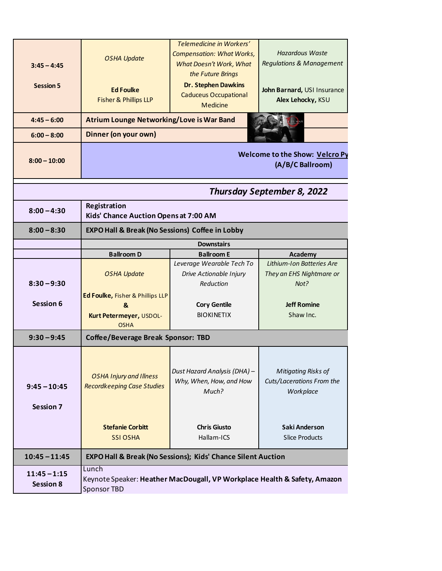| $3:45 - 4:45$<br><b>Session 5</b>  | <b>OSHA Update</b><br><b>Ed Foulke</b><br>Fisher & Phillips LLP                 | Telemedicine in Workers'<br><b>Compensation: What Works,</b><br>What Doesn't Work, What<br>the Future Brings<br><b>Dr. Stephen Dawkins</b><br><b>Caduceus Occupational</b><br><b>Medicine</b> | <b>Hazardous Waste</b><br><b>Regulations &amp; Management</b><br>John Barnard, USI Insurance<br>Alex Lehocky, KSU |  |
|------------------------------------|---------------------------------------------------------------------------------|-----------------------------------------------------------------------------------------------------------------------------------------------------------------------------------------------|-------------------------------------------------------------------------------------------------------------------|--|
| $4:45 - 6:00$                      | <b>Atrium Lounge Networking/Love is War Band</b>                                |                                                                                                                                                                                               |                                                                                                                   |  |
| $6:00 - 8:00$                      | Dinner (on your own)                                                            |                                                                                                                                                                                               |                                                                                                                   |  |
| $8:00 - 10:00$                     | <b>Welcome to the Show: Velcro Py</b><br>(A/B/C Ballroom)                       |                                                                                                                                                                                               |                                                                                                                   |  |
|                                    |                                                                                 |                                                                                                                                                                                               | <b>Thursday September 8, 2022</b>                                                                                 |  |
| $8:00 - 4:30$                      | Registration<br>Kids' Chance Auction Opens at 7:00 AM                           |                                                                                                                                                                                               |                                                                                                                   |  |
| $8:00 - 8:30$                      | <b>EXPO Hall &amp; Break (No Sessions) Coffee in Lobby</b>                      |                                                                                                                                                                                               |                                                                                                                   |  |
|                                    | <b>Downstairs</b>                                                               |                                                                                                                                                                                               |                                                                                                                   |  |
|                                    | <b>Ballroom D</b>                                                               | <b>Ballroom E</b>                                                                                                                                                                             | Academy                                                                                                           |  |
| $8:30 - 9:30$                      | <b>OSHA Update</b>                                                              | Leverage Wearable Tech To<br>Drive Actionable Injury<br>Reduction                                                                                                                             | Lithium-Ion Batteries Are<br>They an EHS Nightmare or<br>Not?                                                     |  |
| Session 6                          | Ed Foulke, Fisher & Phillips LLP<br>&<br>Kurt Petermeyer, USDOL-<br><b>OSHA</b> | <b>Cory Gentile</b><br><b>BIOKINETIX</b>                                                                                                                                                      | <b>Jeff Romine</b><br>Shaw Inc.                                                                                   |  |
| $9:30 - 9:45$                      | <b>Coffee/Beverage Break Sponsor: TBD</b>                                       |                                                                                                                                                                                               |                                                                                                                   |  |
| $9:45 - 10:45$<br><b>Session 7</b> | <b>OSHA Injury and Illness</b><br><b>Recordkeeping Case Studies</b>             | Dust Hazard Analysis (DHA) -<br>Why, When, How, and How<br>Much?                                                                                                                              | <b>Mitigating Risks of</b><br>Cuts/Lacerations From the<br>Workplace                                              |  |
|                                    | <b>Stefanie Corbitt</b><br><b>SSI OSHA</b>                                      | <b>Chris Giusto</b><br>Hallam-ICS                                                                                                                                                             | Saki Anderson<br><b>Slice Products</b>                                                                            |  |
| $10:45 - 11:45$                    |                                                                                 | EXPO Hall & Break (No Sessions); Kids' Chance Silent Auction                                                                                                                                  |                                                                                                                   |  |
| $11:45 - 1:15$<br><b>Session 8</b> | Lunch<br>Sponsor TBD                                                            | Keynote Speaker: Heather MacDougall, VP Workplace Health & Safety, Amazon                                                                                                                     |                                                                                                                   |  |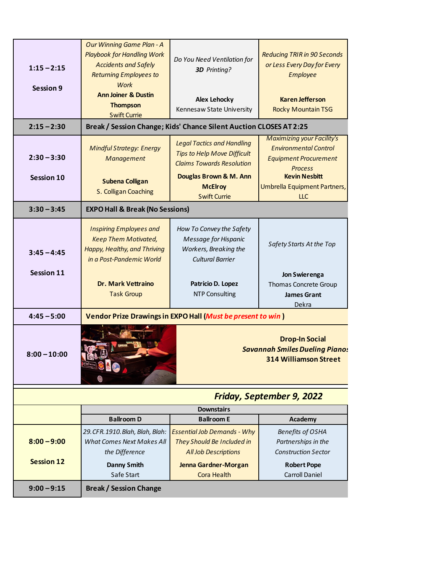|                   | <b>Our Winning Game Plan - A</b>           |                                                                        |                                                                                                |  |
|-------------------|--------------------------------------------|------------------------------------------------------------------------|------------------------------------------------------------------------------------------------|--|
|                   | <b>Playbook for Handling Work</b>          |                                                                        | <b>Reducing TRIR in 90 Seconds</b>                                                             |  |
|                   | <b>Accidents and Safely</b>                | Do You Need Ventilation for                                            | or Less Every Day for Every<br><b>Employee</b>                                                 |  |
| $1:15 - 2:15$     | <b>Returning Employees to</b>              | 3D Printing?                                                           |                                                                                                |  |
|                   | Work                                       |                                                                        |                                                                                                |  |
| <b>Session 9</b>  | <b>Ann Joiner &amp; Dustin</b>             |                                                                        |                                                                                                |  |
|                   | <b>Thompson</b>                            | <b>Alex Lehocky</b>                                                    | <b>Karen Jefferson</b>                                                                         |  |
|                   | <b>Swift Currie</b>                        | Kennesaw State University                                              | <b>Rocky Mountain TSG</b>                                                                      |  |
| $2:15 - 2:30$     |                                            | Break / Session Change; Kids' Chance Silent Auction CLOSES AT 2:25     |                                                                                                |  |
|                   |                                            |                                                                        | <b>Maximizing your Facility's</b>                                                              |  |
|                   | <b>Mindful Strategy: Energy</b>            | <b>Legal Tactics and Handling</b>                                      | <b>Environmental Control</b>                                                                   |  |
| $2:30 - 3:30$     | Management                                 | <b>Tips to Help Move Difficult</b><br><b>Claims Towards Resolution</b> | <b>Equipment Procurement</b>                                                                   |  |
|                   |                                            |                                                                        | <b>Process</b>                                                                                 |  |
| Session 10        | <b>Subena Colligan</b>                     | Douglas Brown & M. Ann                                                 | <b>Kevin Nesbitt</b>                                                                           |  |
|                   | S. Colligan Coaching                       | <b>McElroy</b>                                                         | Umbrella Equipment Partners,                                                                   |  |
|                   |                                            | <b>Swift Currie</b>                                                    | <b>LLC</b>                                                                                     |  |
| $3:30 - 3:45$     | <b>EXPO Hall &amp; Break (No Sessions)</b> |                                                                        |                                                                                                |  |
|                   | <b>Inspiring Employees and</b>             | How To Convey the Safety                                               |                                                                                                |  |
|                   | <b>Keep Them Motivated,</b>                | <b>Message for Hispanic</b>                                            |                                                                                                |  |
|                   | Happy, Healthy, and Thriving               | Workers, Breaking the                                                  | Safety Starts At the Top                                                                       |  |
| $3:45 - 4:45$     | in a Post-Pandemic World                   | <b>Cultural Barrier</b>                                                |                                                                                                |  |
|                   |                                            |                                                                        |                                                                                                |  |
| Session 11        |                                            |                                                                        | Jon Swierenga                                                                                  |  |
|                   | <b>Dr. Mark Vettraino</b>                  | Patricio D. Lopez                                                      | Thomas Concrete Group                                                                          |  |
|                   | <b>Task Group</b>                          | <b>NTP Consulting</b>                                                  | <b>James Grant</b>                                                                             |  |
|                   |                                            |                                                                        |                                                                                                |  |
|                   |                                            |                                                                        | Dekra                                                                                          |  |
| $4:45 - 5:00$     |                                            | Vendor Prize Drawings in EXPO Hall (Must be present to win)            |                                                                                                |  |
| $8:00 - 10:00$    |                                            |                                                                        | <b>Drop-In Social</b><br><b>Savannah Smiles Dueling Pianos</b><br><b>314 Williamson Street</b> |  |
|                   |                                            |                                                                        | <b>Friday, September 9, 2022</b>                                                               |  |
|                   |                                            | <b>Downstairs</b>                                                      |                                                                                                |  |
|                   | <b>Ballroom D</b>                          | <b>Ballroom E</b>                                                      | Academy                                                                                        |  |
|                   | 29. CFR. 1910. Blah, Blah, Blah:           | <b>Essential Job Demands - Why</b>                                     | <b>Benefits of OSHA</b>                                                                        |  |
| $8:00 - 9:00$     | <b>What Comes Next Makes All</b>           | They Should Be Included in                                             | Partnerships in the                                                                            |  |
|                   | the Difference                             | <b>All Job Descriptions</b>                                            | <b>Construction Sector</b>                                                                     |  |
| <b>Session 12</b> |                                            |                                                                        |                                                                                                |  |
|                   | <b>Danny Smith</b><br>Safe Start           | Jenna Gardner-Morgan<br><b>Cora Health</b>                             | <b>Robert Pope</b><br><b>Carroll Daniel</b>                                                    |  |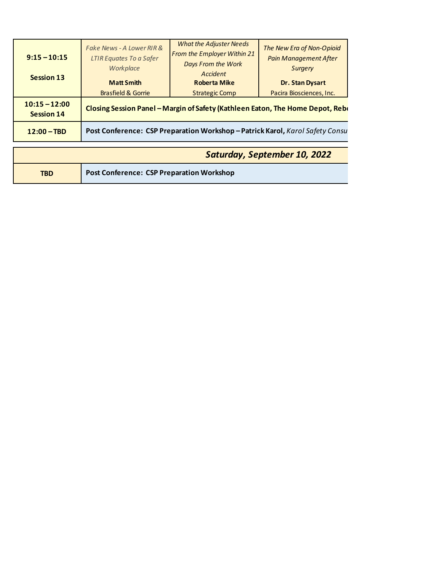| $9:15 - 10:15$<br><b>Session 13</b> | Fake News - A Lower RIR &<br><b>LTIR Equates To a Safer</b><br>Workplace<br><b>Matt Smith</b> | <b>What the Adjuster Needs</b><br>From the Employer Within 21<br>Days From the Work<br>Accident<br><b>Roberta Mike</b> | The New Era of Non-Opioid<br><b>Pain Management After</b><br><b>Surgery</b><br>Dr. Stan Dysart |
|-------------------------------------|-----------------------------------------------------------------------------------------------|------------------------------------------------------------------------------------------------------------------------|------------------------------------------------------------------------------------------------|
| $10:15 - 12:00$                     | <b>Brasfield &amp; Gorrie</b>                                                                 | <b>Strategic Comp</b>                                                                                                  | Pacira Biosciences, Inc.                                                                       |
| <b>Session 14</b>                   |                                                                                               | Closing Session Panel - Margin of Safety (Kathleen Eaton, The Home Depot, Rebe                                         |                                                                                                |
| $12:00 - TBD$                       |                                                                                               | Post Conference: CSP Preparation Workshop - Patrick Karol, Karol Safety Consu                                          |                                                                                                |

|            | Saturday, September 10, 2022                     |
|------------|--------------------------------------------------|
| <b>TBD</b> | <b>Post Conference: CSP Preparation Workshop</b> |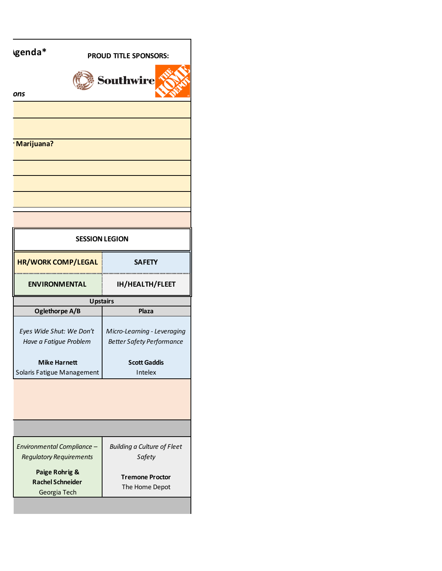| genda*                                                    | PROUD TITLE SPONSORS:                                           |  |
|-----------------------------------------------------------|-----------------------------------------------------------------|--|
| ons                                                       | <b>Southwire</b>                                                |  |
|                                                           |                                                                 |  |
| Marijuana?                                                |                                                                 |  |
|                                                           |                                                                 |  |
|                                                           |                                                                 |  |
|                                                           |                                                                 |  |
| <b>SESSION LEGION</b>                                     |                                                                 |  |
| HR/WORK COMP/LEGAL                                        | <b>SAFETY</b>                                                   |  |
| <b>ENVIRONMENTAL</b>                                      | <br>IH/HEALTH/FLEET                                             |  |
| <b>Upstairs</b>                                           |                                                                 |  |
| Oglethorpe A/B                                            | Plaza                                                           |  |
| Eyes Wide Shut: We Don't<br>Have a Fatigue Problem        | Micro-Learning - Leveraging<br><b>Better Safety Performance</b> |  |
| <b>Mike Harnett</b><br>Solaris Fatigue Management         | <b>Scott Gaddis</b><br>Intelex                                  |  |
|                                                           |                                                                 |  |
|                                                           |                                                                 |  |
|                                                           |                                                                 |  |
| Environmental Compliance -                                | <b>Building a Culture of Fleet</b>                              |  |
| <b>Regulatory Requirements</b>                            | Safety                                                          |  |
| Paige Rohrig &<br><b>Rachel Schneider</b><br>Georgia Tech | <b>Tremone Proctor</b><br>The Home Depot                        |  |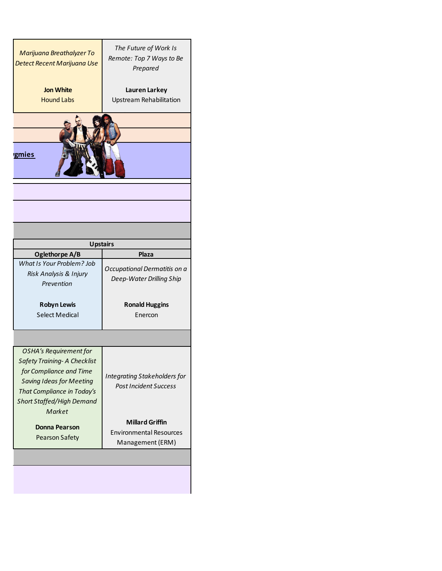| Marijuana Breathalyzer To<br>Detect Recent Marijuana Use | The Future of Work Is<br>Remote: Top 7 Ways to Be<br>Prepared |  |
|----------------------------------------------------------|---------------------------------------------------------------|--|
| <b>Jon White</b>                                         | Lauren Larkey                                                 |  |
| <b>Hound Labs</b>                                        | Upstream Rehabilitation                                       |  |
|                                                          |                                                               |  |
|                                                          |                                                               |  |
|                                                          |                                                               |  |
|                                                          |                                                               |  |
| gmies                                                    |                                                               |  |
|                                                          |                                                               |  |
|                                                          |                                                               |  |
|                                                          |                                                               |  |
|                                                          |                                                               |  |
|                                                          |                                                               |  |
|                                                          |                                                               |  |
| <b>Upstairs</b>                                          |                                                               |  |
| Oglethorpe A/B                                           | Plaza                                                         |  |
| What Is Your Problem? Job                                | Occupational Dermatitis on a                                  |  |
| Risk Analysis & Injury                                   | Deep-Water Drilling Ship                                      |  |
| Prevention                                               |                                                               |  |
| <b>Robyn Lewis</b>                                       | <b>Ronald Huggins</b>                                         |  |
| <b>Select Medical</b>                                    | Enercon                                                       |  |
|                                                          |                                                               |  |
|                                                          |                                                               |  |
| <b>OSHA's Requirement for</b>                            |                                                               |  |
| <b>Safety Training- A Checklist</b>                      |                                                               |  |
| for Compliance and Time                                  |                                                               |  |
| <b>Saving Ideas for Meeting</b>                          | <b>Integrating Stakeholders for</b>                           |  |
| That Compliance in Today's                               | <b>Post Incident Success</b>                                  |  |
|                                                          |                                                               |  |
| <b>Short Staffed/High Demand</b><br>Market               |                                                               |  |
|                                                          |                                                               |  |
|                                                          |                                                               |  |
| <b>Donna Pearson</b>                                     | <b>Millard Griffin</b>                                        |  |
|                                                          | <b>Environmental Resources</b>                                |  |
| <b>Pearson Safety</b>                                    | Management (ERM)                                              |  |
|                                                          |                                                               |  |
|                                                          |                                                               |  |
|                                                          |                                                               |  |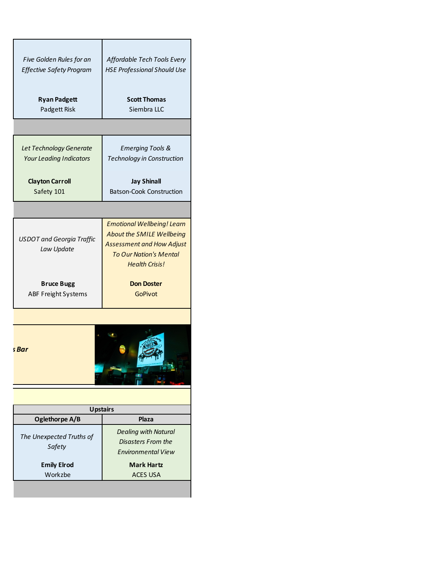| Five Golden Rules for an<br><b>Effective Safety Program</b> | Affordable Tech Tools Every<br><b>HSE Professional Should Use</b> |
|-------------------------------------------------------------|-------------------------------------------------------------------|
| <b>Ryan Padgett</b>                                         | <b>Scott Thomas</b>                                               |
| Padgett Risk                                                | Siembra LLC                                                       |
|                                                             |                                                                   |
| Let Technology Generate                                     | <b>Emerging Tools &amp;</b>                                       |
| <b>Your Leading Indicators</b>                              | Technology in Construction                                        |
| <b>Clayton Carroll</b>                                      | <b>Jay Shinall</b>                                                |
| Safety 101                                                  | <b>Batson-Cook Construction</b>                                   |
|                                                             |                                                                   |
|                                                             | <b>Emotional Wellbeing! Learn</b>                                 |
| <b>USDOT</b> and Georgia Traffic                            | About the SMILE Wellbeing                                         |
| Law Update                                                  | <b>Assessment and How Adjust</b>                                  |
|                                                             | <b>To Our Nation's Mental</b>                                     |
|                                                             | <b>Health Crisis!</b>                                             |
| <b>Bruce Bugg</b>                                           | <b>Don Doster</b>                                                 |
| <b>ABF Freight Systems</b>                                  | <b>GoPivot</b>                                                    |
|                                                             |                                                                   |
| ร Bar                                                       |                                                                   |
|                                                             | <b>Upstairs</b>                                                   |
| Oglethorpe A/B                                              | Plaza                                                             |
| The Unexpected Truths of                                    | <b>Dealing with Natural</b>                                       |
| Safety                                                      | <b>Disasters From the</b><br><b>Environmental View</b>            |
| <b>Emily Elrod</b>                                          | <b>Mark Hartz</b>                                                 |